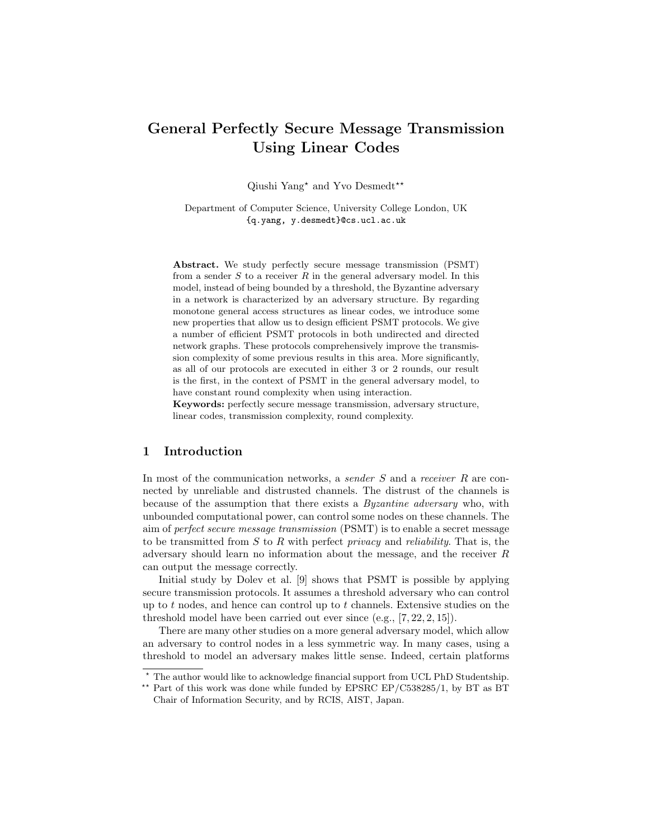# General Perfectly Secure Message Transmission Using Linear Codes

Qiushi Yang<sup>\*</sup> and Yvo Desmedt<sup>\*\*</sup>

Department of Computer Science, University College London, UK {q.yang, y.desmedt}@cs.ucl.ac.uk

Abstract. We study perfectly secure message transmission (PSMT) from a sender S to a receiver R in the general adversary model. In this model, instead of being bounded by a threshold, the Byzantine adversary in a network is characterized by an adversary structure. By regarding monotone general access structures as linear codes, we introduce some new properties that allow us to design efficient PSMT protocols. We give a number of efficient PSMT protocols in both undirected and directed network graphs. These protocols comprehensively improve the transmission complexity of some previous results in this area. More significantly, as all of our protocols are executed in either 3 or 2 rounds, our result is the first, in the context of PSMT in the general adversary model, to have constant round complexity when using interaction.

Keywords: perfectly secure message transmission, adversary structure, linear codes, transmission complexity, round complexity.

## 1 Introduction

In most of the communication networks, a *sender S* and a *receiver* R are connected by unreliable and distrusted channels. The distrust of the channels is because of the assumption that there exists a Byzantine adversary who, with unbounded computational power, can control some nodes on these channels. The aim of perfect secure message transmission (PSMT) is to enable a secret message to be transmitted from  $S$  to  $R$  with perfect *privacy* and *reliability*. That is, the adversary should learn no information about the message, and the receiver R can output the message correctly.

Initial study by Dolev et al. [9] shows that PSMT is possible by applying secure transmission protocols. It assumes a threshold adversary who can control up to  $t$  nodes, and hence can control up to  $t$  channels. Extensive studies on the threshold model have been carried out ever since (e.g., [7, 22, 2, 15]).

There are many other studies on a more general adversary model, which allow an adversary to control nodes in a less symmetric way. In many cases, using a threshold to model an adversary makes little sense. Indeed, certain platforms

<sup>?</sup> The author would like to acknowledge financial support from UCL PhD Studentship.

<sup>\*\*</sup> Part of this work was done while funded by EPSRC EP/C538285/1, by BT as BT Chair of Information Security, and by RCIS, AIST, Japan.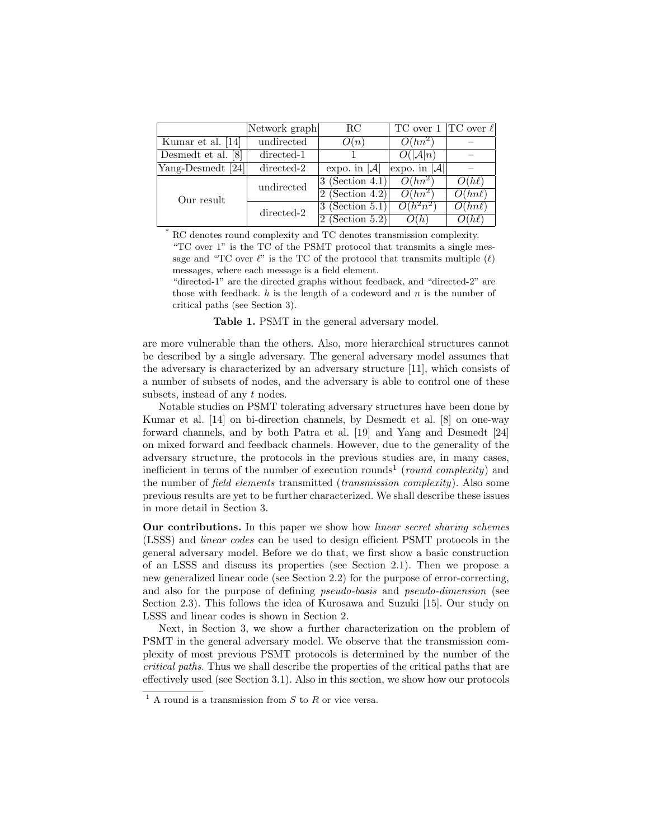|                    | Network graph | $_{\rm RC}$              | TC over 1  TC over $\ell$ |             |
|--------------------|---------------|--------------------------|---------------------------|-------------|
| Kumar et al. [14]  | undirected    | O(n)                     | $O(hn^2)$                 |             |
| Desmedt et al. [8] | directed-1    |                          | $O( \mathcal{A} n)$       |             |
| Yang-Desmedt [24]  | directed-2    | expo. in $ \mathcal{A} $ | expo. in $ \mathcal{A} $  |             |
| Our result         | undirected    | $3$ (Section 4.1)        | $O(hn^2)$                 | $O(h\ell)$  |
|                    |               | $\sqrt{2}$ (Section 4.2) | $O(hn^2)$                 | $O(hn\ell)$ |
|                    | directed-2    | $3$ (Section 5.1)        | $O(h^2n^2)$               | $O(hn\ell)$ |
|                    |               | $2$ (Section 5.2)        | O(h)                      | $O(h\ell)$  |

\* RC denotes round complexity and TC denotes transmission complexity.

"TC over 1" is the TC of the PSMT protocol that transmits a single message and "TC over  $\ell$ " is the TC of the protocol that transmits multiple  $(\ell)$ messages, where each message is a field element.

"directed-1" are the directed graphs without feedback, and "directed-2" are those with feedback.  $h$  is the length of a codeword and  $n$  is the number of critical paths (see Section 3).

Table 1. PSMT in the general adversary model.

are more vulnerable than the others. Also, more hierarchical structures cannot be described by a single adversary. The general adversary model assumes that the adversary is characterized by an adversary structure [11], which consists of a number of subsets of nodes, and the adversary is able to control one of these subsets, instead of any t nodes.

Notable studies on PSMT tolerating adversary structures have been done by Kumar et al. [14] on bi-direction channels, by Desmedt et al. [8] on one-way forward channels, and by both Patra et al. [19] and Yang and Desmedt [24] on mixed forward and feedback channels. However, due to the generality of the adversary structure, the protocols in the previous studies are, in many cases, inefficient in terms of the number of execution rounds<sup>1</sup> (*round complexity*) and the number of field elements transmitted (transmission complexity). Also some previous results are yet to be further characterized. We shall describe these issues in more detail in Section 3.

Our contributions. In this paper we show how linear secret sharing schemes (LSSS) and linear codes can be used to design efficient PSMT protocols in the general adversary model. Before we do that, we first show a basic construction of an LSSS and discuss its properties (see Section 2.1). Then we propose a new generalized linear code (see Section 2.2) for the purpose of error-correcting, and also for the purpose of defining *pseudo-basis* and *pseudo-dimension* (see Section 2.3). This follows the idea of Kurosawa and Suzuki [15]. Our study on LSSS and linear codes is shown in Section 2.

Next, in Section 3, we show a further characterization on the problem of PSMT in the general adversary model. We observe that the transmission complexity of most previous PSMT protocols is determined by the number of the critical paths. Thus we shall describe the properties of the critical paths that are effectively used (see Section 3.1). Also in this section, we show how our protocols

<sup>&</sup>lt;sup>1</sup> A round is a transmission from S to R or vice versa.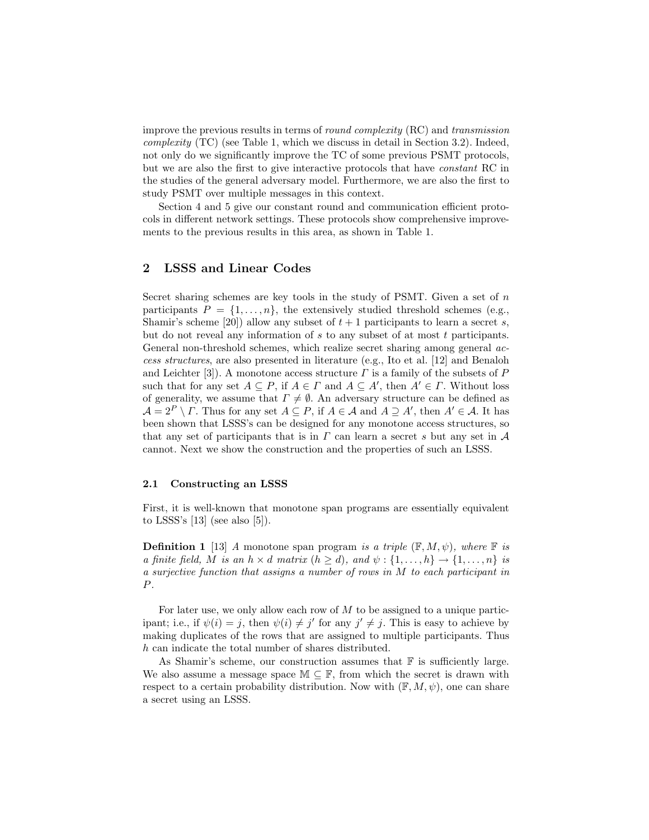improve the previous results in terms of round complexity (RC) and transmission complexity (TC) (see Table 1, which we discuss in detail in Section 3.2). Indeed, not only do we significantly improve the TC of some previous PSMT protocols, but we are also the first to give interactive protocols that have constant RC in the studies of the general adversary model. Furthermore, we are also the first to study PSMT over multiple messages in this context.

Section 4 and 5 give our constant round and communication efficient protocols in different network settings. These protocols show comprehensive improvements to the previous results in this area, as shown in Table 1.

# 2 LSSS and Linear Codes

Secret sharing schemes are key tools in the study of PSMT. Given a set of  $n$ participants  $P = \{1, \ldots, n\}$ , the extensively studied threshold schemes (e.g., Shamir's scheme [20]) allow any subset of  $t + 1$  participants to learn a secret s, but do not reveal any information of  $s$  to any subset of at most  $t$  participants. General non-threshold schemes, which realize secret sharing among general access structures, are also presented in literature (e.g., Ito et al. [12] and Benaloh and Leichter [3]). A monotone access structure  $\Gamma$  is a family of the subsets of  $P$ such that for any set  $A \subseteq P$ , if  $A \in \Gamma$  and  $A \subseteq A'$ , then  $A' \in \Gamma$ . Without loss of generality, we assume that  $\Gamma \neq \emptyset$ . An adversary structure can be defined as  $\mathcal{A} = 2^P \setminus \Gamma$ . Thus for any set  $A \subseteq P$ , if  $A \in \mathcal{A}$  and  $A \supseteq A'$ , then  $A' \in \mathcal{A}$ . It has been shown that LSSS's can be designed for any monotone access structures, so that any set of participants that is in  $\Gamma$  can learn a secret s but any set in  $\mathcal A$ cannot. Next we show the construction and the properties of such an LSSS.

## 2.1 Constructing an LSSS

First, it is well-known that monotone span programs are essentially equivalent to LSSS's  $[13]$  (see also  $[5]$ ).

**Definition 1** [13] A monotone span program is a triple  $(\mathbb{F}, M, \psi)$ , where  $\mathbb{F}$  is a finite field, M is an  $h \times d$  matrix  $(h \geq d)$ , and  $\psi : \{1, \ldots, h\} \to \{1, \ldots, n\}$  is a surjective function that assigns a number of rows in M to each participant in P.

For later use, we only allow each row of  $M$  to be assigned to a unique participant; i.e., if  $\psi(i) = j$ , then  $\psi(i) \neq j'$  for any  $j' \neq j$ . This is easy to achieve by making duplicates of the rows that are assigned to multiple participants. Thus h can indicate the total number of shares distributed.

As Shamir's scheme, our construction assumes that  $\mathbb F$  is sufficiently large. We also assume a message space  $\mathbb{M} \subset \mathbb{F}$ , from which the secret is drawn with respect to a certain probability distribution. Now with  $(\mathbb{F}, M, \psi)$ , one can share a secret using an LSSS.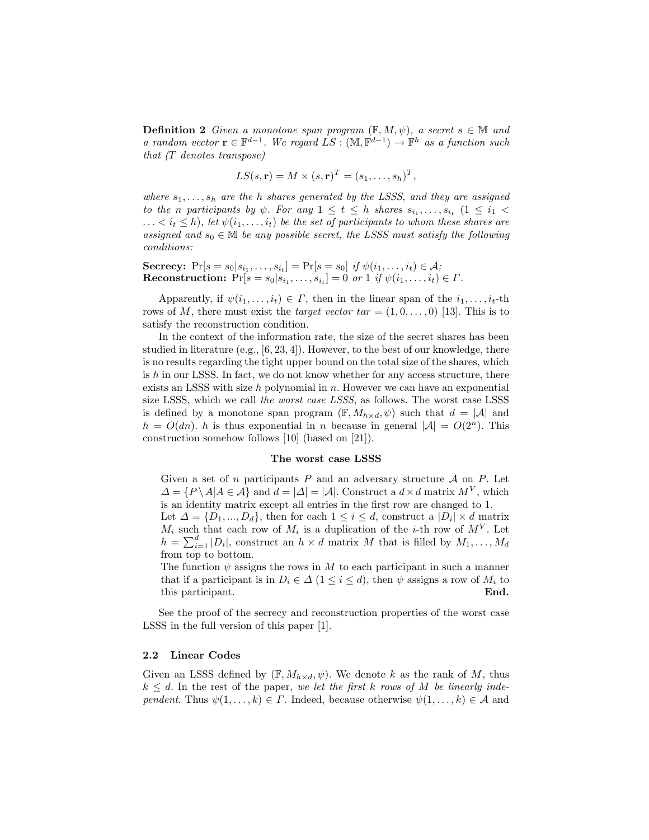**Definition 2** Given a monotone span program  $(\mathbb{F}, M, \psi)$ , a secret  $s \in \mathbb{M}$  and a random vector  $\mathbf{r} \in \mathbb{F}^{d-1}$ . We regard  $LS : (\mathbb{M}, \mathbb{F}^{d-1}) \to \mathbb{F}^h$  as a function such that  $(T$  denotes transpose)

$$
LS(s,\mathbf{r}) = M \times (s,\mathbf{r})^T = (s_1,\ldots,s_h)^T,
$$

where  $s_1, \ldots, s_h$  are the h shares generated by the LSSS, and they are assigned to the n participants by  $\psi$ . For any  $1 \leq t \leq h$  shares  $s_{i_1}, \ldots, s_{i_t}$   $(1 \leq i_1$  $\ldots \langle i_t \leq h \rangle$ , let  $\psi(i_1, \ldots, i_t)$  be the set of participants to whom these shares are assigned and  $s_0 \in \mathbb{M}$  be any possible secret, the LSSS must satisfy the following conditions:

**Secrecy:**  $Pr[s = s_0 | s_{i_1}, \ldots, s_{i_t}] = Pr[s = s_0] \text{ if } \psi(i_1, \ldots, i_t) \in A;$ **Reconstruction:**  $Pr[s = s_0 | s_{i_1}, \ldots, s_{i_t}] = 0 \text{ or } 1 \text{ if } \psi(i_1, \ldots, i_t) \in \Gamma.$ 

Apparently, if  $\psi(i_1,\ldots,i_t) \in \Gamma$ , then in the linear span of the  $i_1,\ldots,i_t$ -th rows of M, there must exist the *target vector*  $tar = (1, 0, \ldots, 0)$  [13]. This is to satisfy the reconstruction condition.

In the context of the information rate, the size of the secret shares has been studied in literature (e.g., [6, 23, 4]). However, to the best of our knowledge, there is no results regarding the tight upper bound on the total size of the shares, which is  $h$  in our LSSS. In fact, we do not know whether for any access structure, there exists an LSSS with size h polynomial in n. However we can have an exponential size LSSS, which we call the worst case LSSS, as follows. The worst case LSSS is defined by a monotone span program  $(\mathbb{F}, M_{h \times d}, \psi)$  such that  $d = |\mathcal{A}|$  and  $h = O(dn)$ . h is thus exponential in n because in general  $|\mathcal{A}| = O(2^n)$ . This construction somehow follows [10] (based on [21]).

#### The worst case LSSS

Given a set of  $n$  participants  $P$  and an adversary structure  $A$  on  $P$ . Let  $\Delta = \{P \setminus A | A \in \mathcal{A}\}\$ and  $d = |\Delta| = |\mathcal{A}|$ . Construct a  $d \times d$  matrix  $M^V$ , which is an identity matrix except all entries in the first row are changed to 1.

Let  $\Delta = \{D_1, ..., D_d\}$ , then for each  $1 \leq i \leq d$ , construct a  $|D_i| \times d$  matrix  $M_i$  such that each row of  $M_i$  is a duplication of the *i*-th row of  $M^V$ . Let  $h = \sum_{i=1}^{d} |D_i|$ , construct an  $h \times d$  matrix M that is filled by  $M_1, \ldots, M_d$ from top to bottom.

The function  $\psi$  assigns the rows in M to each participant in such a manner that if a participant is in  $D_i \in \Delta$  ( $1 \leq i \leq d$ ), then  $\psi$  assigns a row of  $M_i$  to this participant. End.

See the proof of the secrecy and reconstruction properties of the worst case LSSS in the full version of this paper [1].

#### 2.2 Linear Codes

Given an LSSS defined by  $(\mathbb{F}, M_{h \times d}, \psi)$ . We denote k as the rank of M, thus  $k \leq d$ . In the rest of the paper, we let the first k rows of M be linearly independent. Thus  $\psi(1,\ldots,k) \in \Gamma$ . Indeed, because otherwise  $\psi(1,\ldots,k) \in \mathcal{A}$  and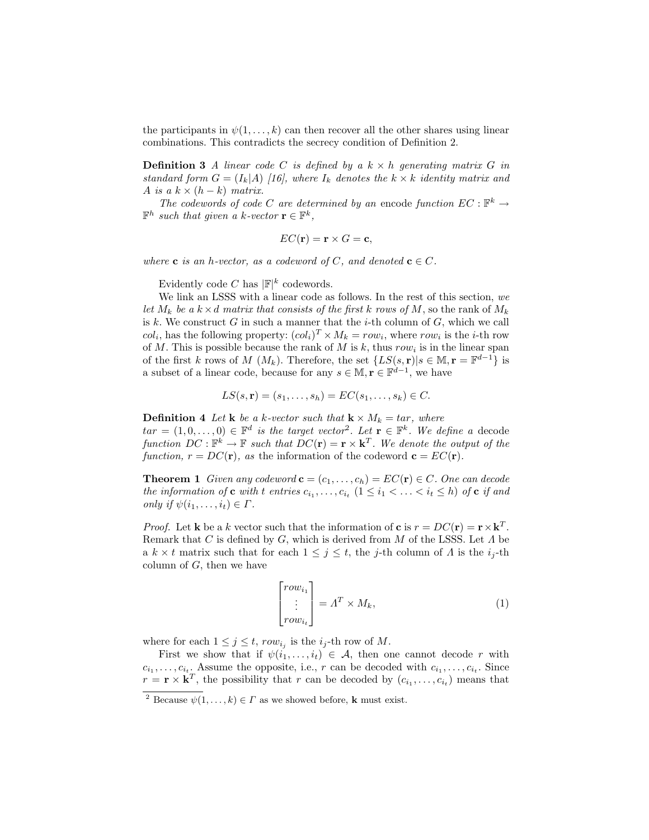the participants in  $\psi(1,\ldots,k)$  can then recover all the other shares using linear combinations. This contradicts the secrecy condition of Definition 2.

**Definition 3** A linear code C is defined by a  $k \times h$  generating matrix G in standard form  $G = (I_k | A)$  [16], where  $I_k$  denotes the  $k \times k$  identity matrix and A is a  $k \times (h - k)$  matrix.

The codewords of code C are determined by an encode function  $EC : \mathbb{F}^k \to$  $\mathbb{F}^h$  such that given a k-vector  $\mathbf{r} \in \mathbb{F}^k$ ,

$$
EC(\mathbf{r}) = \mathbf{r} \times G = \mathbf{c},
$$

where **c** is an h-vector, as a codeword of C, and denoted  $c \in C$ .

Evidently code C has  $|\mathbb{F}|^k$  codewords.

We link an LSSS with a linear code as follows. In the rest of this section, we let  $M_k$  be a  $k \times d$  matrix that consists of the first k rows of M, so the rank of  $M_k$ is k. We construct G in such a manner that the *i*-th column of G, which we call  $col_i$ , has the following property:  $(col_i)^T \times M_k = row_i$ , where  $row_i$  is the *i*-th row of M. This is possible because the rank of M is k, thus  $row_i$  is in the linear span of the first k rows of M  $(M_k)$ . Therefore, the set  $\{LS(s,\mathbf{r})|s \in \mathbb{M}, \mathbf{r} = \mathbb{F}^{d-1}\}\)$  is a subset of a linear code, because for any  $s \in \mathbb{M}, \mathbf{r} \in \mathbb{F}^{d-1}$ , we have

$$
LS(s,\mathbf{r})=(s_1,\ldots,s_h)=EC(s_1,\ldots,s_k)\in C.
$$

**Definition 4** Let **k** be a k-vector such that  $\mathbf{k} \times M_k = \text{tar}$ , where  $tar = (1, 0, \ldots, 0) \in \mathbb{F}^d$  is the target vector<sup>2</sup>. Let  $\mathbf{r} \in \mathbb{F}^k$ . We define a decode function  $DC : \mathbb{F}^k \to \mathbb{F}$  such that  $DC(\mathbf{r}) = \mathbf{r} \times \mathbf{k}^T$ . We denote the output of the function,  $r = DC(\mathbf{r})$ , as the information of the codeword  $\mathbf{c} = EC(\mathbf{r})$ .

**Theorem 1** Given any codeword  $\mathbf{c} = (c_1, \ldots, c_h) = EC(\mathbf{r}) \in C$ . One can decode the information of **c** with t entries  $c_{i_1}, \ldots, c_{i_t}$   $(1 \leq i_1 < \ldots < i_t \leq h)$  of **c** if and only if  $\psi(i_1,\ldots,i_t)\in\Gamma$ .

*Proof.* Let **k** be a k vector such that the information of **c** is  $r = DC(\mathbf{r}) = \mathbf{r} \times \mathbf{k}^T$ . Remark that C is defined by G, which is derived from M of the LSSS. Let  $\Lambda$  be a  $k \times t$  matrix such that for each  $1 \leq j \leq t$ , the j-th column of  $\Lambda$  is the  $i_j$ -th column of  $G$ , then we have

$$
\begin{bmatrix} row_{i_1} \\ \vdots \\ row_{i_t} \end{bmatrix} = \Lambda^T \times M_k,
$$
 (1)

where for each  $1 \leq j \leq t$ ,  $row_{i_j}$  is the  $i_j$ -th row of M.

First we show that if  $\psi(i_1,\ldots,i_t) \in \mathcal{A}$ , then one cannot decode r with  $c_{i_1}, \ldots, c_{i_t}$ . Assume the opposite, i.e., r can be decoded with  $c_{i_1}, \ldots, c_{i_t}$ . Since  $r = \mathbf{r} \times \mathbf{k}^T$ , the possibility that r can be decoded by  $(c_{i_1}, \ldots, c_{i_t})$  means that

<sup>&</sup>lt;sup>2</sup> Because  $\psi(1,\ldots,k) \in \Gamma$  as we showed before, **k** must exist.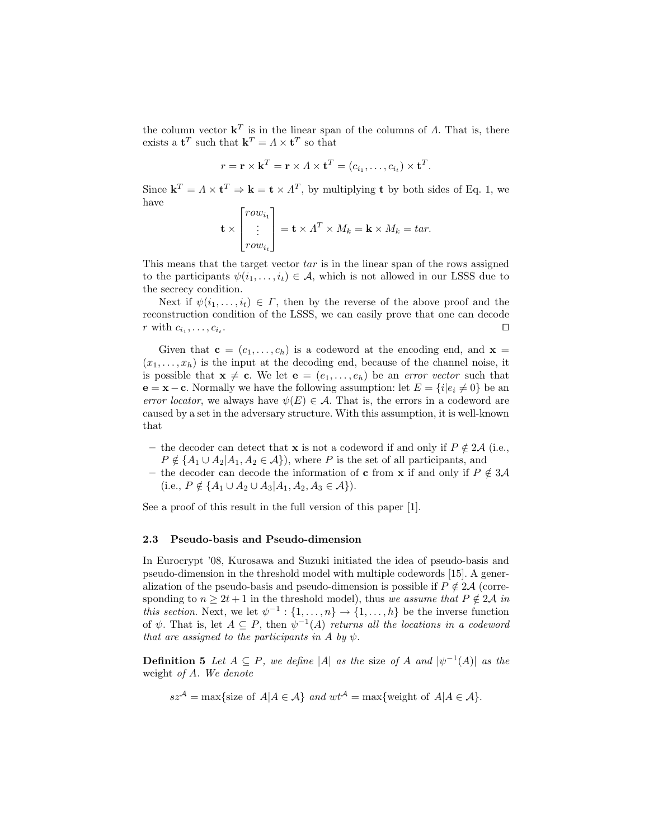the column vector  $\mathbf{k}^T$  is in the linear span of the columns of  $\Lambda$ . That is, there exists a  $\mathbf{t}^T$  such that  $\mathbf{k}^T = \Lambda \times \mathbf{t}^T$  so that

$$
r = \mathbf{r} \times \mathbf{k}^T = \mathbf{r} \times \Lambda \times \mathbf{t}^T = (c_{i_1}, \dots, c_{i_t}) \times \mathbf{t}^T.
$$

Since  $\mathbf{k}^T = \Lambda \times \mathbf{t}^T \Rightarrow \mathbf{k} = \mathbf{t} \times \Lambda^T$ , by multiplying  $\mathbf{t}$  by both sides of Eq. 1, we have

$$
\mathbf{t} \times \begin{bmatrix} row_{i_1} \\ \vdots \\ row_{i_t} \end{bmatrix} = \mathbf{t} \times \Lambda^T \times M_k = \mathbf{k} \times M_k = tar.
$$

This means that the target vector tar is in the linear span of the rows assigned to the participants  $\psi(i_1,\ldots,i_t) \in \mathcal{A}$ , which is not allowed in our LSSS due to the secrecy condition.

Next if  $\psi(i_1,\ldots,i_t) \in \Gamma$ , then by the reverse of the above proof and the reconstruction condition of the LSSS, we can easily prove that one can decode r with  $c_{i_1}, \ldots, c_{i_t}$ . The contract of the contract of the contract of the contract of the contract of the contract of the contract of the contract of the contract of the contract of the contract of the contract of the contract of the contract

Given that  $\mathbf{c} = (c_1, \ldots, c_h)$  is a codeword at the encoding end, and  $\mathbf{x} =$  $(x_1, \ldots, x_h)$  is the input at the decoding end, because of the channel noise, it is possible that  $\mathbf{x} \neq \mathbf{c}$ . We let  $\mathbf{e} = (e_1, \ldots, e_h)$  be an *error vector* such that  $\mathbf{e} = \mathbf{x} - \mathbf{c}$ . Normally we have the following assumption: let  $E = \{i | e_i \neq 0\}$  be an error locator, we always have  $\psi(E) \in \mathcal{A}$ . That is, the errors in a codeword are caused by a set in the adversary structure. With this assumption, it is well-known that

- the decoder can detect that **x** is not a codeword if and only if  $P \notin 2\mathcal{A}$  (i.e.,  $P \notin \{A_1 \cup A_2 | A_1, A_2 \in \mathcal{A}\}\)$ , where P is the set of all participants, and
- the decoder can decode the information of **c** from **x** if and only if  $P \notin 3\mathcal{A}$ (i.e.,  $P \notin \{A_1 \cup A_2 \cup A_3 | A_1, A_2, A_3 \in \mathcal{A}\}.$

See a proof of this result in the full version of this paper [1].

#### 2.3 Pseudo-basis and Pseudo-dimension

In Eurocrypt '08, Kurosawa and Suzuki initiated the idea of pseudo-basis and pseudo-dimension in the threshold model with multiple codewords [15]. A generalization of the pseudo-basis and pseudo-dimension is possible if  $P \notin 2\mathcal{A}$  (corresponding to  $n \geq 2t + 1$  in the threshold model), thus we assume that  $P \notin 2\mathcal{A}$  in *this section*. Next, we let  $\psi^{-1} : \{1, \ldots, n\} \to \{1, \ldots, h\}$  be the inverse function of  $\psi$ . That is, let  $A \subseteq P$ , then  $\psi^{-1}(A)$  returns all the locations in a codeword that are assigned to the participants in A by  $\psi$ .

**Definition 5** Let  $A \subseteq P$ , we define |A| as the size of A and  $|\psi^{-1}(A)|$  as the weight of A. We denote

 $sz^{\mathcal{A}} = \max\{\text{size of } A | A \in \mathcal{A}\}\$ and  $wt^{\mathcal{A}} = \max\{\text{weight of } A | A \in \mathcal{A}\}.$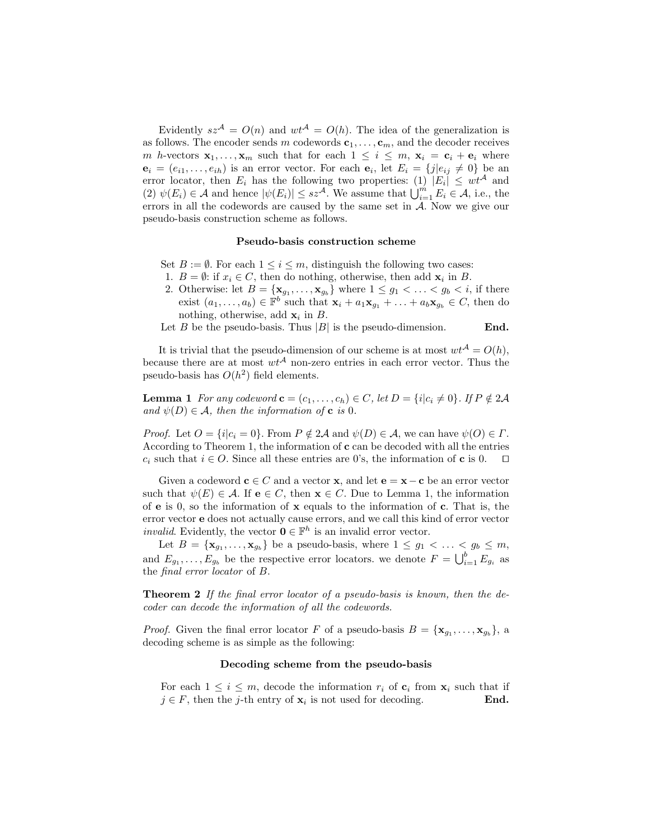Evidently  $sz^{\mathcal{A}} = O(n)$  and  $wt^{\mathcal{A}} = O(h)$ . The idea of the generalization is as follows. The encoder sends m codewords  $c_1, \ldots, c_m$ , and the decoder receives m h-vectors  $\mathbf{x}_1, \ldots, \mathbf{x}_m$  such that for each  $1 \leq i \leq m$ ,  $\mathbf{x}_i = \mathbf{c}_i + \mathbf{e}_i$  where  $\mathbf{e}_i = (e_{i1}, \dots, e_{ih})$  is an error vector. For each  $\mathbf{e}_i$ , let  $E_i = \{j | e_{ij} \neq 0\}$  be an error locator, then  $E_i$  has the following two properties: (1)  $|E_i| \leq wt^{\mathcal{A}}$  and (2)  $\psi(E_i) \in \mathcal{A}$  and hence  $|\psi(E_i)| \leq s z^{\mathcal{A}}$ . We assume that  $\bigcup_{i=1}^m E_i \in \mathcal{A}$ , i.e., the errors in all the codewords are caused by the same set in A. Now we give our pseudo-basis construction scheme as follows.

#### Pseudo-basis construction scheme

- Set  $B := \emptyset$ . For each  $1 \leq i \leq m$ , distinguish the following two cases:
- 1.  $B = \emptyset$ : if  $x_i \in C$ , then do nothing, otherwise, then add  $\mathbf{x}_i$  in B.
- 2. Otherwise: let  $B = {\mathbf{x}_{g_1}, \dots, \mathbf{x}_{g_b}}$  where  $1 \le g_1 < \dots < g_b < i$ , if there exist  $(a_1, \ldots, a_b) \in \mathbb{F}^b$  such that  $\mathbf{x}_i + a_1 \mathbf{x}_{g_1} + \ldots + a_b \mathbf{x}_{g_b} \in C$ , then do nothing, otherwise, add  $\mathbf{x}_i$  in B.

Let B be the pseudo-basis. Thus  $|B|$  is the pseudo-dimension. End.

It is trivial that the pseudo-dimension of our scheme is at most  $wt^A = O(h)$ . because there are at most  $wt^{\mathcal{A}}$  non-zero entries in each error vector. Thus the pseudo-basis has  $O(h^2)$  field elements.

**Lemma 1** For any codeword  $\mathbf{c} = (c_1, \ldots, c_h) \in C$ , let  $D = \{i | c_i \neq 0\}$ . If  $P \notin 2\mathcal{A}$ and  $\psi(D) \in \mathcal{A}$ , then the information of **c** is 0.

*Proof.* Let  $O = \{i | c_i = 0\}$ . From  $P \notin 2\mathcal{A}$  and  $\psi(D) \in \mathcal{A}$ , we can have  $\psi(O) \in \Gamma$ . According to Theorem 1, the information of  $\mathbf c$  can be decoded with all the entries c<sub>i</sub> such that  $i \in O$ . Since all these entries are 0's, the information of **c** is 0.  $\Box$ 

Given a codeword  $\mathbf{c} \in C$  and a vector **x**, and let  $\mathbf{e} = \mathbf{x} - \mathbf{c}$  be an error vector such that  $\psi(E) \in \mathcal{A}$ . If  $e \in C$ , then  $x \in C$ . Due to Lemma 1, the information of **e** is 0, so the information of  $x$  equals to the information of  $c$ . That is, the error vector e does not actually cause errors, and we call this kind of error vector *invalid*. Evidently, the vector  $\mathbf{0} \in \mathbb{F}^h$  is an invalid error vector.

Let  $B = {\mathbf{x}_{g_1}, \dots, \mathbf{x}_{g_b}}$  be a pseudo-basis, where  $1 \le g_1 < \dots < g_b \le m$ , and  $E_{g_1}, \ldots, E_{g_b}$  be the respective error locators. we denote  $F = \bigcup_{i=1}^b E_{g_i}$  as the final error locator of B.

Theorem 2 If the final error locator of a pseudo-basis is known, then the decoder can decode the information of all the codewords.

*Proof.* Given the final error locator F of a pseudo-basis  $B = {\mathbf{x}_{g_1}, \dots, \mathbf{x}_{g_b}}$ , a decoding scheme is as simple as the following:

#### Decoding scheme from the pseudo-basis

For each  $1 \leq i \leq m$ , decode the information  $r_i$  of  $c_i$  from  $x_i$  such that if  $j \in F$ , then the j-th entry of  $\mathbf{x}_i$  is not used for decoding. End.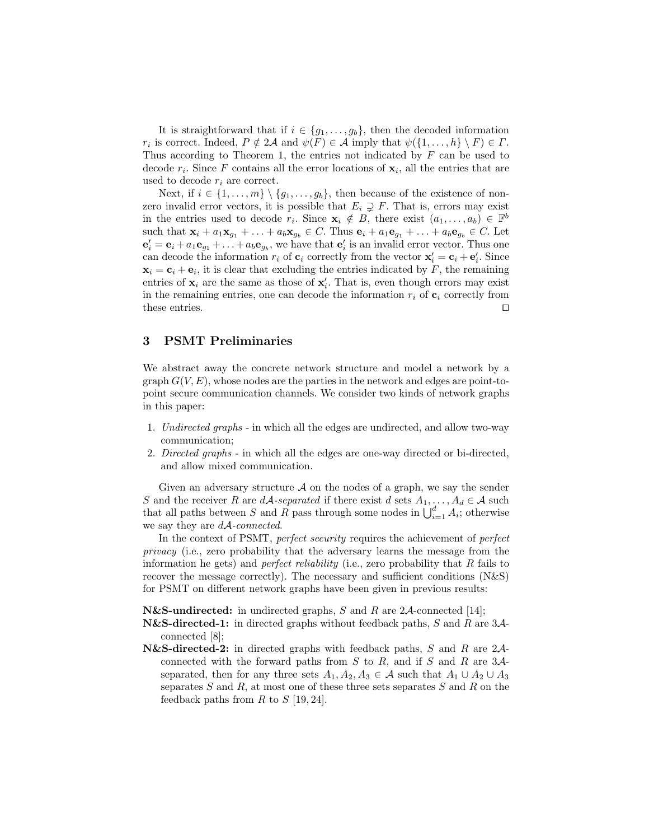It is straightforward that if  $i \in \{g_1, \ldots, g_b\}$ , then the decoded information  $r_i$  is correct. Indeed,  $P \notin 2\mathcal{A}$  and  $\psi(F) \in \mathcal{A}$  imply that  $\psi(\{1,\ldots,h\} \setminus F) \in \Gamma$ . Thus according to Theorem 1, the entries not indicated by  $F$  can be used to decode  $r_i$ . Since F contains all the error locations of  $\mathbf{x}_i$ , all the entries that are used to decode  $r_i$  are correct.

Next, if  $i \in \{1, \ldots, m\} \setminus \{g_1, \ldots, g_b\}$ , then because of the existence of nonzero invalid error vectors, it is possible that  $E_i \supsetneq F$ . That is, errors may exist in the entries used to decode  $r_i$ . Since  $\mathbf{x}_i \notin B$ , there exist  $(a_1, \ldots, a_b) \in \mathbb{F}^b$ such that  $\mathbf{x}_i + a_1 \mathbf{x}_{g_1} + \ldots + a_b \mathbf{x}_{g_b} \in C$ . Thus  $\mathbf{e}_i + a_1 \mathbf{e}_{g_1} + \ldots + a_b \mathbf{e}_{g_b} \in C$ . Let  $\mathbf{e}'_i = \mathbf{e}_i + a_1 \mathbf{e}_{g_1} + \ldots + a_b \mathbf{e}_{g_b}$ , we have that  $\mathbf{e}'_i$  is an invalid error vector. Thus one can decode the information  $r_i$  of  $\mathbf{c}_i$  correctly from the vector  $\mathbf{x}'_i = \mathbf{c}_i + \mathbf{e}'_i$ . Since  $\mathbf{x}_i = \mathbf{c}_i + \mathbf{e}_i$ , it is clear that excluding the entries indicated by F, the remaining entries of  $\mathbf{x}_i$  are the same as those of  $\mathbf{x}'_i$ . That is, even though errors may exist in the remaining entries, one can decode the information  $r_i$  of  $c_i$  correctly from these entries.  $\Box$ 

# 3 PSMT Preliminaries

We abstract away the concrete network structure and model a network by a graph  $G(V, E)$ , whose nodes are the parties in the network and edges are point-topoint secure communication channels. We consider two kinds of network graphs in this paper:

- 1. Undirected graphs in which all the edges are undirected, and allow two-way communication;
- 2. Directed graphs in which all the edges are one-way directed or bi-directed, and allow mixed communication.

Given an adversary structure  $A$  on the nodes of a graph, we say the sender S and the receiver R are  $d\mathcal{A}$ -separated if there exist  $d$  sets  $A_1, \ldots, A_d \in \mathcal{A}$  such that all paths between S and R pass through some nodes in  $\bigcup_{i=1}^{d} A_i$ ; otherwise we say they are  $d\mathcal{A}\text{-connected}$ .

In the context of PSMT, perfect security requires the achievement of perfect privacy (i.e., zero probability that the adversary learns the message from the information he gets) and *perfect reliability* (i.e., zero probability that  $R$  fails to recover the message correctly). The necessary and sufficient conditions (N&S) for PSMT on different network graphs have been given in previous results:

**N&S-undirected:** in undirected graphs, S and R are 2A-connected [14];

- N&S-directed-1: in directed graphs without feedback paths, S and R are 3Aconnected [8];
- **N&S-directed-2:** in directed graphs with feedback paths, S and R are  $2\mathcal{A}$ connected with the forward paths from  $S$  to  $R$ , and if  $S$  and  $R$  are 3.4separated, then for any three sets  $A_1, A_2, A_3 \in \mathcal{A}$  such that  $A_1 \cup A_2 \cup A_3$ separates  $S$  and  $R$ , at most one of these three sets separates  $S$  and  $R$  on the feedback paths from  $R$  to  $S$  [19, 24].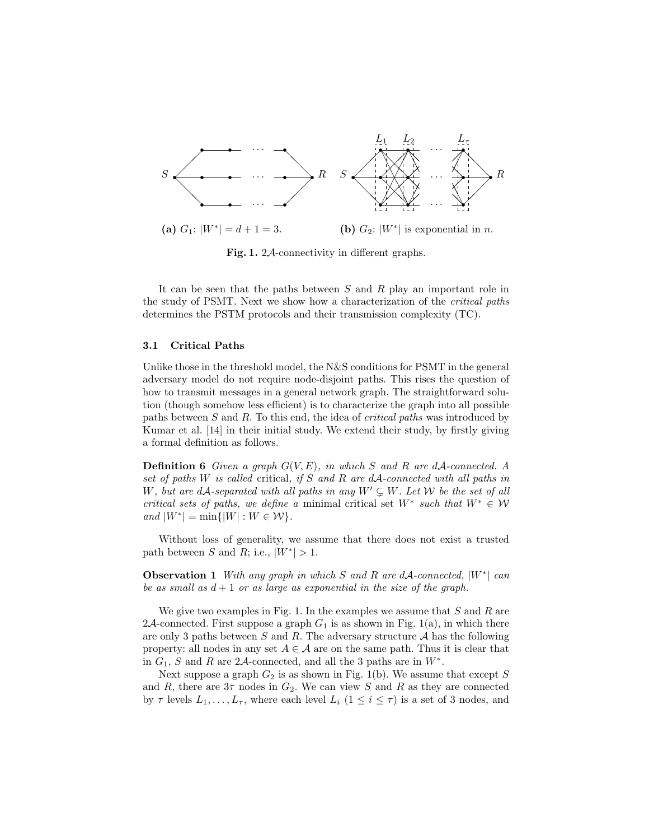

Fig. 1. 2.4-connectivity in different graphs.

It can be seen that the paths between  $S$  and  $R$  play an important role in the study of PSMT. Next we show how a characterization of the critical paths determines the PSTM protocols and their transmission complexity (TC).

#### 3.1 Critical Paths

Unlike those in the threshold model, the N&S conditions for PSMT in the general adversary model do not require node-disjoint paths. This rises the question of how to transmit messages in a general network graph. The straightforward solution (though somehow less efficient) is to characterize the graph into all possible paths between  $S$  and  $R$ . To this end, the idea of *critical paths* was introduced by Kumar et al. [14] in their initial study. We extend their study, by firstly giving a formal definition as follows.

**Definition 6** Given a graph  $G(V, E)$ , in which S and R are dA-connected. A set of paths W is called critical, if S and R are dA-connected with all paths in W, but are dA-separated with all paths in any  $W' \subseteq W$ . Let W be the set of all critical sets of paths, we define a minimal critical set  $W^*$  such that  $W^* \in \mathcal{W}$ and  $|W^*| = \min\{|W| : W \in \mathcal{W}\}.$ 

Without loss of generality, we assume that there does not exist a trusted path between S and R; i.e.,  $|W^*| > 1$ .

Observation 1 With any graph in which S and R are dA-connected,  $|W^*|$  can be as small as  $d+1$  or as large as exponential in the size of the graph.

We give two examples in Fig. 1. In the examples we assume that  $S$  and  $R$  are 2.4-connected. First suppose a graph  $G_1$  is as shown in Fig. 1(a), in which there are only 3 paths between  $S$  and  $R$ . The adversary structure  $A$  has the following property: all nodes in any set  $A \in \mathcal{A}$  are on the same path. Thus it is clear that in  $G_1$ , S and R are 2A-connected, and all the 3 paths are in  $W^*$ .

Next suppose a graph  $G_2$  is as shown in Fig. 1(b). We assume that except S and R, there are  $3\tau$  nodes in  $G_2$ . We can view S and R as they are connected by  $\tau$  levels  $L_1, \ldots, L_{\tau}$ , where each level  $L_i$   $(1 \leq i \leq \tau)$  is a set of 3 nodes, and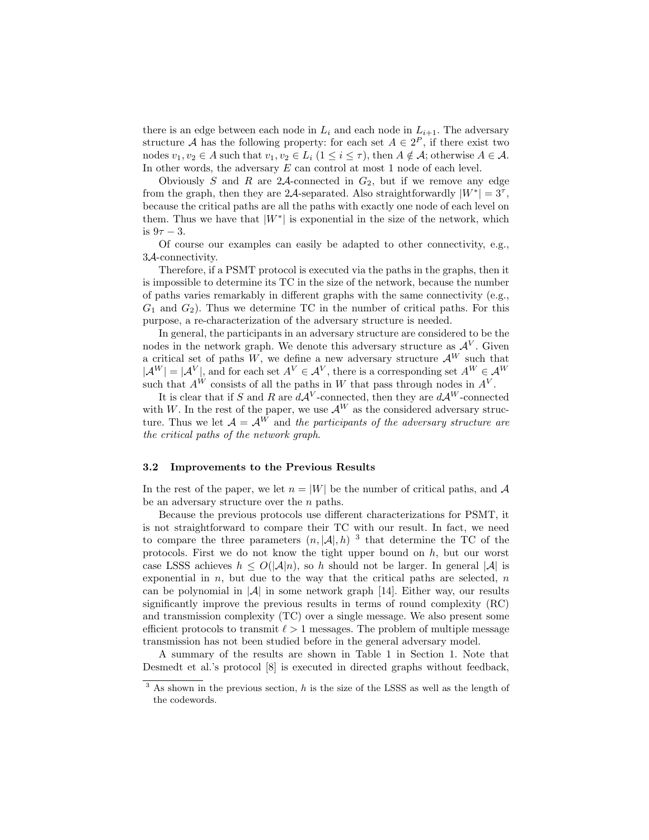there is an edge between each node in  $L_i$  and each node in  $L_{i+1}$ . The adversary structure A has the following property: for each set  $A \in 2^P$ , if there exist two nodes  $v_1, v_2 \in A$  such that  $v_1, v_2 \in L_i$   $(1 \leq i \leq \tau)$ , then  $A \notin A$ ; otherwise  $A \in A$ . In other words, the adversary  $E$  can control at most 1 node of each level.

Obviously S and R are  $2\mathcal{A}$ -connected in  $G_2$ , but if we remove any edge from the graph, then they are 2A-separated. Also straightforwardly  $|W^*| = 3^{\tau}$ , because the critical paths are all the paths with exactly one node of each level on them. Thus we have that  $|W^*|$  is exponential in the size of the network, which is  $9\tau - 3$ .

Of course our examples can easily be adapted to other connectivity, e.g., 3A-connectivity.

Therefore, if a PSMT protocol is executed via the paths in the graphs, then it is impossible to determine its TC in the size of the network, because the number of paths varies remarkably in different graphs with the same connectivity (e.g.,  $G_1$  and  $G_2$ ). Thus we determine TC in the number of critical paths. For this purpose, a re-characterization of the adversary structure is needed.

In general, the participants in an adversary structure are considered to be the nodes in the network graph. We denote this adversary structure as  $\mathcal{A}^V$ . Given a critical set of paths W, we define a new adversary structure  $\mathcal{A}^W$  such that  $|\mathcal{A}^W| = |\mathcal{A}^V|$ , and for each set  $A^V \in \mathcal{A}^V$ , there is a corresponding set  $A^W \in \mathcal{A}^W$ such that  $A^W$  consists of all the paths in W that pass through nodes in  $A^V$ .

It is clear that if S and R are  $dA^V$ -connected, then they are  $dA^W$ -connected with W. In the rest of the paper, we use  $\mathcal{A}^W$  as the considered adversary structure. Thus we let  $\mathcal{A} = \mathcal{A}^W$  and the participants of the adversary structure are the critical paths of the network graph.

## 3.2 Improvements to the Previous Results

In the rest of the paper, we let  $n = |W|$  be the number of critical paths, and A be an adversary structure over the  $n$  paths.

Because the previous protocols use different characterizations for PSMT, it is not straightforward to compare their TC with our result. In fact, we need to compare the three parameters  $(n, |\mathcal{A}|, h)^{-3}$  that determine the TC of the protocols. First we do not know the tight upper bound on  $h$ , but our worst case LSSS achieves  $h \leq O(|\mathcal{A}|n)$ , so h should not be larger. In general  $|\mathcal{A}|$  is exponential in  $n$ , but due to the way that the critical paths are selected,  $n$ can be polynomial in  $|\mathcal{A}|$  in some network graph [14]. Either way, our results significantly improve the previous results in terms of round complexity (RC) and transmission complexity (TC) over a single message. We also present some efficient protocols to transmit  $\ell > 1$  messages. The problem of multiple message transmission has not been studied before in the general adversary model.

A summary of the results are shown in Table 1 in Section 1. Note that Desmedt et al.'s protocol [8] is executed in directed graphs without feedback,

 $3$  As shown in the previous section, h is the size of the LSSS as well as the length of the codewords.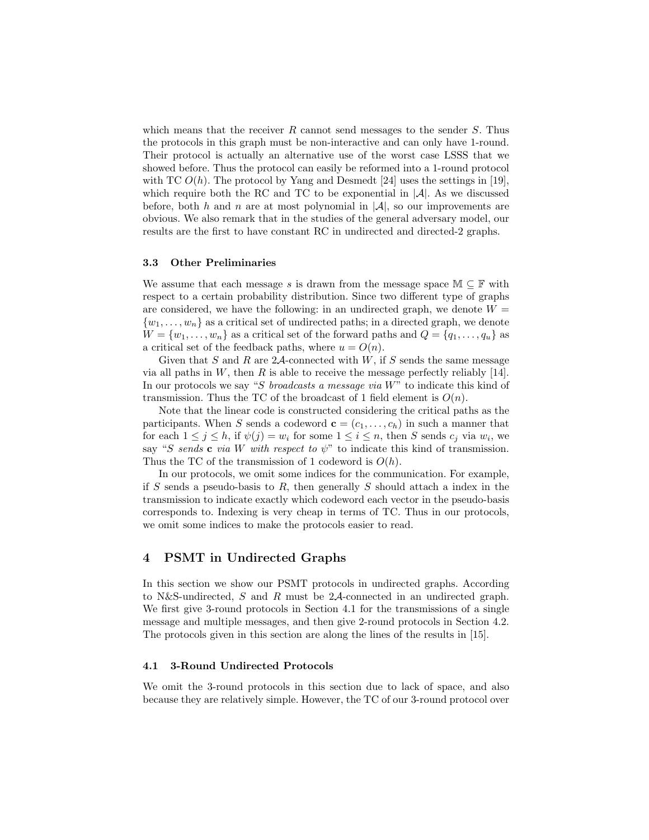which means that the receiver  $R$  cannot send messages to the sender  $S$ . Thus the protocols in this graph must be non-interactive and can only have 1-round. Their protocol is actually an alternative use of the worst case LSSS that we showed before. Thus the protocol can easily be reformed into a 1-round protocol with TC  $O(h)$ . The protocol by Yang and Desmedt [24] uses the settings in [19], which require both the RC and TC to be exponential in  $|\mathcal{A}|$ . As we discussed before, both h and n are at most polynomial in  $|\mathcal{A}|$ , so our improvements are obvious. We also remark that in the studies of the general adversary model, our results are the first to have constant RC in undirected and directed-2 graphs.

#### 3.3 Other Preliminaries

We assume that each message s is drawn from the message space  $\mathbb{M} \subseteq \mathbb{F}$  with respect to a certain probability distribution. Since two different type of graphs are considered, we have the following: in an undirected graph, we denote  $W =$  $\{w_1, \ldots, w_n\}$  as a critical set of undirected paths; in a directed graph, we denote  $W = \{w_1, \ldots, w_n\}$  as a critical set of the forward paths and  $Q = \{q_1, \ldots, q_u\}$  as a critical set of the feedback paths, where  $u = O(n)$ .

Given that  $S$  and  $R$  are 2.4-connected with  $W$ , if  $S$  sends the same message via all paths in W, then R is able to receive the message perfectly reliably [14]. In our protocols we say "S broadcasts a message via W" to indicate this kind of transmission. Thus the TC of the broadcast of 1 field element is  $O(n)$ .

Note that the linear code is constructed considering the critical paths as the participants. When S sends a codeword  $\mathbf{c} = (c_1, \ldots, c_h)$  in such a manner that for each  $1 \leq j \leq h$ , if  $\psi(j) = w_i$  for some  $1 \leq i \leq n$ , then S sends  $c_j$  via  $w_i$ , we say "S sends c via W with respect to  $\psi$ " to indicate this kind of transmission. Thus the TC of the transmission of 1 codeword is  $O(h)$ .

In our protocols, we omit some indices for the communication. For example, if S sends a pseudo-basis to R, then generally S should attach a index in the transmission to indicate exactly which codeword each vector in the pseudo-basis corresponds to. Indexing is very cheap in terms of TC. Thus in our protocols, we omit some indices to make the protocols easier to read.

# 4 PSMT in Undirected Graphs

In this section we show our PSMT protocols in undirected graphs. According to N&S-undirected, S and R must be 2A-connected in an undirected graph. We first give 3-round protocols in Section 4.1 for the transmissions of a single message and multiple messages, and then give 2-round protocols in Section 4.2. The protocols given in this section are along the lines of the results in [15].

#### 4.1 3-Round Undirected Protocols

We omit the 3-round protocols in this section due to lack of space, and also because they are relatively simple. However, the TC of our 3-round protocol over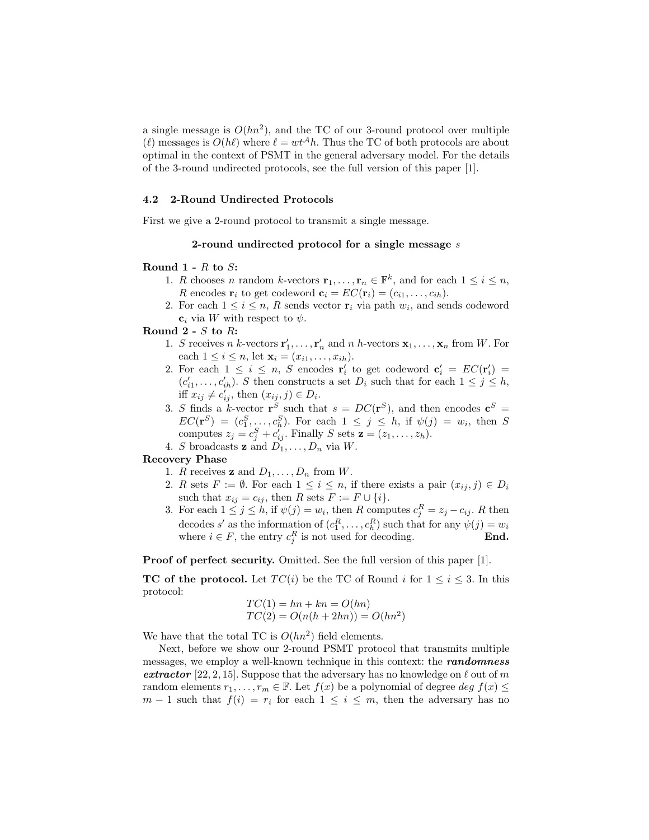a single message is  $O(hn^2)$ , and the TC of our 3-round protocol over multiple ( $\ell$ ) messages is  $O(h\ell)$  where  $\ell = wt^{\mathcal{A}}h$ . Thus the TC of both protocols are about optimal in the context of PSMT in the general adversary model. For the details of the 3-round undirected protocols, see the full version of this paper [1].

#### 4.2 2-Round Undirected Protocols

First we give a 2-round protocol to transmit a single message.

## 2-round undirected protocol for a single message  $s$

#### Round  $1 - R$  to  $S$ :

- 1. R chooses n random k-vectors  $\mathbf{r}_1, \ldots, \mathbf{r}_n \in \mathbb{F}^k$ , and for each  $1 \leq i \leq n$ , R encodes  $\mathbf{r}_i$  to get codeword  $\mathbf{c}_i = EC(\mathbf{r}_i) = (c_{i1}, \ldots, c_{ih}).$
- 2. For each  $1 \leq i \leq n$ , R sends vector  $\mathbf{r}_i$  via path  $w_i$ , and sends codeword  $c_i$  via W with respect to  $\psi$ .

#### Round  $2 - S$  to  $R$ :

- 1. S receives n k-vectors  $\mathbf{r}'_1, \ldots, \mathbf{r}'_n$  and n h-vectors  $\mathbf{x}_1, \ldots, \mathbf{x}_n$  from W. For each  $1 \leq i \leq n$ , let  $\mathbf{x}_i = (x_{i1}, \ldots, x_{ih}).$
- 2. For each  $1 \leq i \leq n$ , S encodes  $\mathbf{r}'_i$  to get codeword  $\mathbf{c}'_i = EC(\mathbf{r}'_i)$  $(c'_{i1}, \ldots, c'_{ih})$ . S then constructs a set  $D_i$  such that for each  $1 \leq j \leq h$ , iff  $x_{ij} \neq c_{ij}^{\prime\prime}$ , then  $(x_{ij}, j) \in D_i$ .
- 3. S finds a k-vector  $\mathbf{r}^S$  such that  $s = DC(\mathbf{r}^S)$ , and then encodes  $\mathbf{c}^S =$  $EC(\mathbf{r}^S) = (c_1^S, \ldots, c_h^S)$ . For each  $1 \leq j \leq h$ , if  $\psi(j) = w_i$ , then S computes  $z_j = c_j^S + c_{ij}^{\prime}$ . Finally S sets  $\mathbf{z} = (z_1, \ldots, z_h)$ .
- 4. S broadcasts **z** and  $D_1, \ldots, D_n$  via W.

#### Recovery Phase

- 1. R receives **z** and  $D_1, \ldots, D_n$  from W.
- 2. R sets  $F := \emptyset$ . For each  $1 \leq i \leq n$ , if there exists a pair  $(x_{ij}, j) \in D_i$ such that  $x_{ij} = c_{ij}$ , then R sets  $F := F \cup \{i\}.$
- 3. For each  $1 \leq j \leq h$ , if  $\psi(j) = w_i$ , then R computes  $c_j^R = z_j c_{ij}$ . R then decodes s' as the information of  $(c_1^R, \ldots, c_h^R)$  such that for any  $\psi(j) = w_i$ where  $i \in F$ , the entry  $c_j^R$  is not used for decoding. End.

Proof of perfect security. Omitted. See the full version of this paper [1].

**TC** of the protocol. Let  $TC(i)$  be the TC of Round i for  $1 \leq i \leq 3$ . In this protocol:

$$
TC(1) = hn + kn = O(hn)
$$
  

$$
TC(2) = O(n(h + 2hn)) = O(hn2)
$$

We have that the total TC is  $O(hn^2)$  field elements.

Next, before we show our 2-round PSMT protocol that transmits multiple messages, we employ a well-known technique in this context: the **randomness** extractor [22, 2, 15]. Suppose that the adversary has no knowledge on  $\ell$  out of m random elements  $r_1, \ldots, r_m \in \mathbb{F}$ . Let  $f(x)$  be a polynomial of degree  $deg\ f(x) \leq$  $m-1$  such that  $f(i) = r_i$  for each  $1 \leq i \leq m$ , then the adversary has no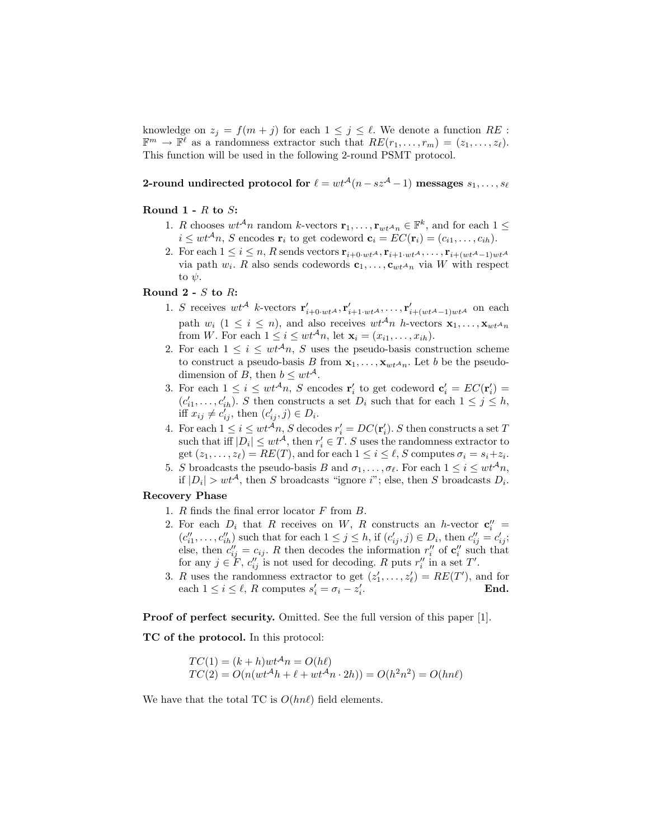knowledge on  $z_j = f(m + j)$  for each  $1 \leq j \leq \ell$ . We denote a function RE :  $\mathbb{F}^m \to \mathbb{F}^{\ell}$  as a randomness extractor such that  $RE(r_1, \ldots, r_m) = (z_1, \ldots, z_{\ell}).$ This function will be used in the following 2-round PSMT protocol.

2-round undirected protocol for  $\ell = wt^{\mathcal{A}}(n - sz^{\mathcal{A}} - 1)$  messages  $s_1, \ldots, s_\ell$ 

### Round  $1 - R$  to  $S$ :

- 1. R chooses  $wt^{\mathcal{A}}n$  random k-vectors  $\mathbf{r}_1, \ldots, \mathbf{r}_{wt^{\mathcal{A}}n} \in \mathbb{F}^k$ , and for each  $1 \leq$  $i \leq wt^{\mathcal{A}}n$ , S encodes  $\mathbf{r}_i$  to get codeword  $\mathbf{c}_i = EC(\mathbf{r}_i) = (c_{i1}, \ldots, c_{ih}).$
- 2. For each  $1 \leq i \leq n$ , R sends vectors  $\mathbf{r}_{i+0 \cdot wt^{\mathcal{A}}}, \mathbf{r}_{i+1 \cdot wt^{\mathcal{A}}}, \ldots, \mathbf{r}_{i+(wt^{\mathcal{A}}-1)wt^{\mathcal{A}}}$ via path  $w_i$ . R also sends codewords  $c_1, \ldots, c_{wt}$ <sub>An</sub> via W with respect to  $\psi$ .

## Round  $2 - S$  to  $R$ :

- 1. S receives  $wt^{\mathcal{A}}$  k-vectors  $\mathbf{r}'_{i+0 \cdot wt^{\mathcal{A}}}, \mathbf{r}'_{i+1 \cdot wt^{\mathcal{A}}}, \ldots, \mathbf{r}'_{i+(wt^{\mathcal{A}}-1)wt^{\mathcal{A}}}$  on each path  $w_i$  (1  $\leq i \leq n$ ), and also receives  $wt^{\mathcal{A}}n$  h-vectors  $\mathbf{x}_1, \ldots, \mathbf{x}_{wt^{\mathcal{A}}n}$ from W. For each  $1 \leq i \leq wt^{\mathcal{A}} n$ , let  $\mathbf{x}_i = (x_{i1}, \ldots, x_{ih}).$
- 2. For each  $1 \leq i \leq wt^{\mathcal{A}} n$ , S uses the pseudo-basis construction scheme to construct a pseudo-basis B from  $x_1, \ldots, x_{wt}$ , Let b be the pseudodimension of B, then  $b \leq wt^{\mathcal{A}}$ .
- 3. For each  $1 \leq i \leq wt^{\mathcal{A}}n$ , S encodes  $\mathbf{r}'_i$  to get codeword  $\mathbf{c}'_i = EC(\mathbf{r}'_i)$  $(c'_{i1}, \ldots, c'_{ih})$ . S then constructs a set  $D_i$  such that for each  $1 \leq j \leq h$ , iff  $x_{ij} \neq c'_{ij}$ , then  $(c'_{ij}, j) \in D_i$ .
- 4. For each  $1 \leq i \leq wt^{\mathcal{A}} n$ , S decodes  $r'_i = DC(\mathbf{r}'_i)$ . S then constructs a set T such that iff  $|D_i| \le wt^{\mathcal{A}},$  then  $r'_i \in T$ . S uses the randomness extractor to get  $(z_1, \ldots, z_\ell) = RE(T)$ , and for each  $1 \leq i \leq \ell$ , S computes  $\sigma_i = s_i + z_i$ .
- 5. S broadcasts the pseudo-basis B and  $\sigma_1, \ldots, \sigma_\ell$ . For each  $1 \leq i \leq wt^{\mathcal{A}}n$ , if  $|D_i| > wt^{\mathcal{A}}$ , then S broadcasts "ignore i"; else, then S broadcasts  $D_i$ .

## Recovery Phase

- 1. R finds the final error locator F from B.
- 2. For each  $D_i$  that R receives on W, R constructs an h-vector  $\mathbf{c}''_i$  =  $(c''_{i1}, \ldots, c''_{ih})$  such that for each  $1 \leq j \leq h$ , if  $(c'_{ij}, j) \in D_i$ , then  $c''_{ij} = c'_{ij}$ ; else, then  $c''_{ij} = c_{ij}$ . R then decodes the information  $r''_i$  of  $\mathbf{c}''_i$  such that for any  $j \in F$ ,  $c''_{ij}$  is not used for decoding. R puts  $r''_i$  in a set T'.
- 3. R uses the randomness extractor to get  $(z'_1, \ldots, z'_\ell) = RE(T')$ , and for each  $1 \leq i \leq \ell$ , R computes  $s_i' = \sigma_i - z_i'$ . End.

Proof of perfect security. Omitted. See the full version of this paper [1].

TC of the protocol. In this protocol:

$$
TC(1) = (k + h)wt^{A}n = O(h\ell)
$$
  
 
$$
TC(2) = O(n(wt^{A}h + \ell + wt^{A}n \cdot 2h)) = O(h^{2}n^{2}) = O(hn\ell)
$$

We have that the total TC is  $O(hn\ell)$  field elements.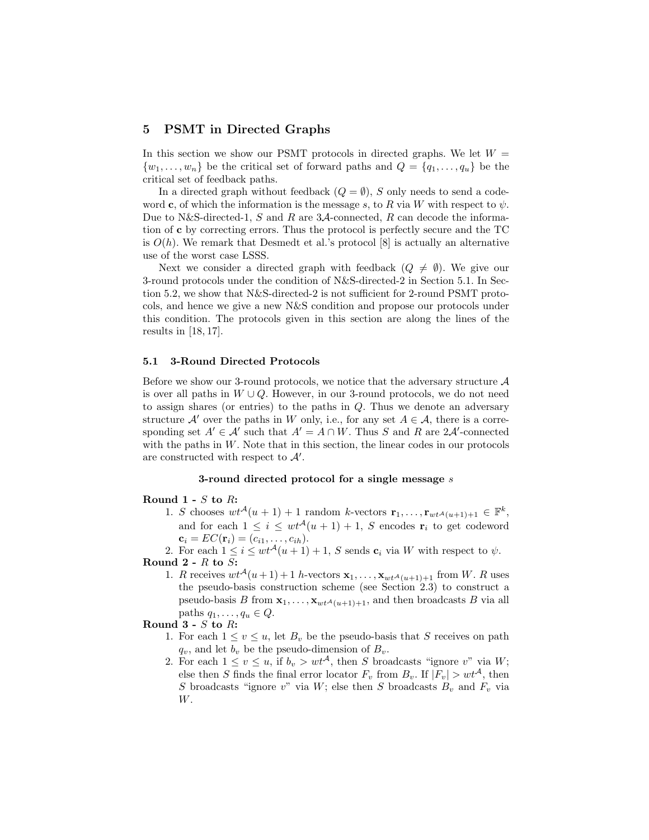## 5 PSMT in Directed Graphs

In this section we show our PSMT protocols in directed graphs. We let  $W =$  $\{w_1, \ldots, w_n\}$  be the critical set of forward paths and  $Q = \{q_1, \ldots, q_u\}$  be the critical set of feedback paths.

In a directed graph without feedback  $(Q = \emptyset)$ , S only needs to send a codeword c, of which the information is the message s, to R via W with respect to  $\psi$ . Due to N&S-directed-1,  $S$  and  $R$  are 3A-connected,  $R$  can decode the information of c by correcting errors. Thus the protocol is perfectly secure and the TC is  $O(h)$ . We remark that Desmedt et al.'s protocol [8] is actually an alternative use of the worst case LSSS.

Next we consider a directed graph with feedback  $(Q \neq \emptyset)$ . We give our 3-round protocols under the condition of N&S-directed-2 in Section 5.1. In Section 5.2, we show that N&S-directed-2 is not sufficient for 2-round PSMT protocols, and hence we give a new N&S condition and propose our protocols under this condition. The protocols given in this section are along the lines of the results in [18, 17].

#### 5.1 3-Round Directed Protocols

Before we show our 3-round protocols, we notice that the adversary structure  ${\mathcal A}$ is over all paths in  $W \cup Q$ . However, in our 3-round protocols, we do not need to assign shares (or entries) to the paths in  $Q$ . Thus we denote an adversary structure A' over the paths in W only, i.e., for any set  $A \in \mathcal{A}$ , there is a corresponding set  $A' \in \mathcal{A}'$  such that  $A' = A \cap W$ . Thus S and R are 2 $\mathcal{A}'$ -connected with the paths in  $W$ . Note that in this section, the linear codes in our protocols are constructed with respect to  $\mathcal{A}'$ .

### 3-round directed protocol for a single message  $s$

#### Round  $1 - S$  to  $R$ :

- 1. S chooses  $wt^{\mathcal{A}}(u+1)+1$  random k-vectors  $\mathbf{r}_1,\ldots,\mathbf{r}_{wt^{\mathcal{A}}(u+1)+1} \in \mathbb{F}^k$ , and for each  $1 \leq i \leq wt^{\mathcal{A}}(u+1)+1$ , S encodes  $\mathbf{r}_i$  to get codeword  $$
- 2. For each  $1 \leq i \leq wt^{\mathcal{A}}(u+1)+1$ , S sends  $c_i$  via W with respect to  $\psi$ . Round  $2 - R$  to  $S$ :
	- 1. R receives  $wt^{\mathcal{A}}(u+1)+1$  h-vectors  $\mathbf{x}_1,\ldots,\mathbf{x}_{wt^{\mathcal{A}}(u+1)+1}$  from W. R uses the pseudo-basis construction scheme (see Section 2.3) to construct a pseudo-basis B from  $\mathbf{x}_1, \ldots, \mathbf{x}_{wt^{\mathcal{A}}(u+1)+1}$ , and then broadcasts B via all paths  $q_1, \ldots, q_u \in Q$ .

## Round  $3 - S$  to  $R$ :

- 1. For each  $1 \le v \le u$ , let  $B_v$  be the pseudo-basis that S receives on path  $q_v$ , and let  $b_v$  be the pseudo-dimension of  $B_v$ .
- 2. For each  $1 \le v \le u$ , if  $b_v > wt^{\mathcal{A}}$ , then S broadcasts "ignore v" via W; else then S finds the final error locator  $F_v$  from  $B_v$ . If  $|F_v| > wt^{\mathcal{A}}$ , then S broadcasts "ignore v" via W; else then S broadcasts  $B_v$  and  $F_v$  via W.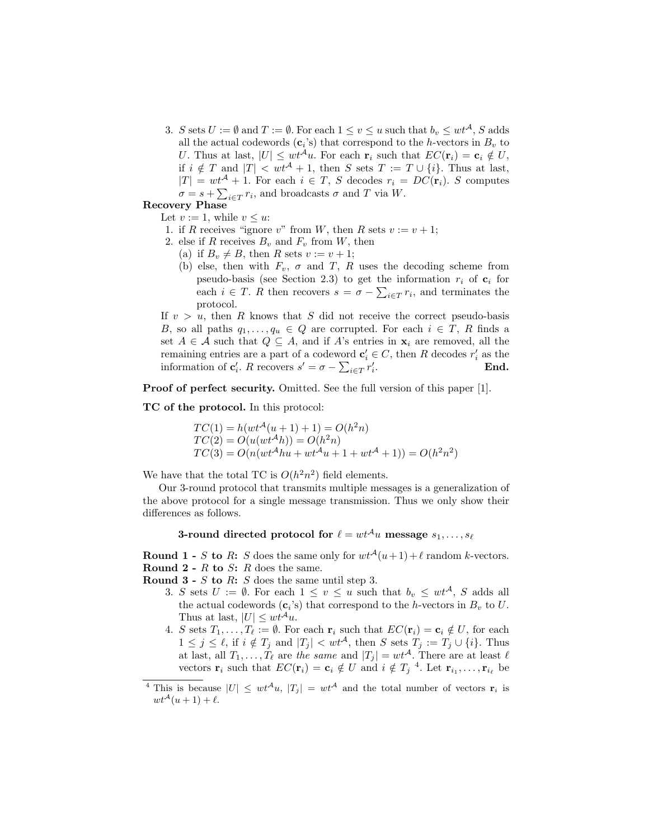3. S sets  $U := \emptyset$  and  $T := \emptyset$ . For each  $1 \le v \le u$  such that  $b_v \le wt^{\mathcal{A}}, S$  adds all the actual codewords  $(c_i)$  that correspond to the h-vectors in  $B_v$  to U. Thus at last,  $|U| \leq wt^{\mathcal{A}}u$ . For each  $\mathbf{r}_i$  such that  $EC(\mathbf{r}_i) = \mathbf{c}_i \notin U$ , if  $i \notin T$  and  $|T| < wt^{\mathcal{A}} + 1$ , then S sets  $T := T \cup \{i\}$ . Thus at last,  $|T| = wt^{\mathcal{A}} + 1$ . For each  $i \in T$ , S decodes  $r_i = DC(\mathbf{r}_i)$ . S computes  $\sigma = s + \sum_{i \in T} r_i$ , and broadcasts  $\sigma$  and T via W.

## Recovery Phase

Let  $v := 1$ , while  $v \leq u$ :

- 1. if R receives "ignore v" from W, then R sets  $v := v + 1$ ;
- 2. else if R receives  $B_v$  and  $F_v$  from W, then
	- (a) if  $B_v \neq B$ , then R sets  $v := v + 1$ ;
	- (b) else, then with  $F_v$ ,  $\sigma$  and T, R uses the decoding scheme from pseudo-basis (see Section 2.3) to get the information  $r_i$  of  $c_i$  for each  $i \in T$ . R then recovers  $s = \sigma - \sum_{i \in T} r_i$ , and terminates the protocol.

If  $v > u$ , then R knows that S did not receive the correct pseudo-basis B, so all paths  $q_1, \ldots, q_u \in Q$  are corrupted. For each  $i \in T$ , R finds a set  $A \in \mathcal{A}$  such that  $Q \subseteq A$ , and if A's entries in  $\mathbf{x}_i$  are removed, all the remaining entries are a part of a codeword  $\mathbf{c}'_i \in C$ , then R decodes  $r'_i$  as the information of  $\mathbf{c}'_i$ . R recovers  $s' = \sigma - \sum_{i \in T} r'_i$ . End.

Proof of perfect security. Omitted. See the full version of this paper [1].

TC of the protocol. In this protocol:

$$
TC(1) = h(wtA(u + 1) + 1) = O(h2n)
$$
  
\n
$$
TC(2) = O(u(wtAh)) = O(h2n)
$$
  
\n
$$
TC(3) = O(n(wtAhu + wtAu + 1 + wtA + 1)) = O(h2n2)
$$

We have that the total TC is  $O(h^2n^2)$  field elements.

Our 3-round protocol that transmits multiple messages is a generalization of the above protocol for a single message transmission. Thus we only show their differences as follows.

3-round directed protocol for  $\ell = wt^{\mathcal{A}}u$  message  $s_1, \ldots, s_\ell$ 

**Round 1 -** S to R: S does the same only for  $wt^{\mathcal{A}}(u+1)+\ell$  random k-vectors. **Round 2 - R to S:** R does the same.

**Round 3 -**  $S$  to  $R$ :  $S$  does the same until step 3.

- 3. S sets  $U := \emptyset$ . For each  $1 \le v \le u$  such that  $b_v \le wt^{\mathcal{A}}$ , S adds all the actual codewords  $(c_i)$  that correspond to the h-vectors in  $B_v$  to U. Thus at last,  $|U| \leq wt^{\mathcal{A}}u$ .
- 4. S sets  $T_1, \ldots, T_\ell := \emptyset$ . For each  $\mathbf{r}_i$  such that  $EC(\mathbf{r}_i) = \mathbf{c}_i \notin U$ , for each  $1 \leq j \leq \ell$ , if  $i \notin T_j$  and  $|T_j| < wt^{\mathcal{A}}$ , then S sets  $T_j := T_j \cup \{i\}$ . Thus at last, all  $T_1, \ldots, T_\ell$  are the same and  $|T_j| = wt^{\mathcal{A}}$ . There are at least  $\ell$ vectors  $\mathbf{r}_i$  such that  $EC(\mathbf{r}_i) = \mathbf{c}_i \notin U$  and  $i \notin T_j$ <sup>4</sup>. Let  $\mathbf{r}_{i_1}, \ldots, \mathbf{r}_{i_\ell}$  be

<sup>&</sup>lt;sup>4</sup> This is because  $|U| \leq wt^{\mathcal{A}}u$ ,  $|T_j| = wt^{\mathcal{A}}$  and the total number of vectors  $\mathbf{r}_i$  is  $wt^{\mathcal{A}}(u+1) + \ell.$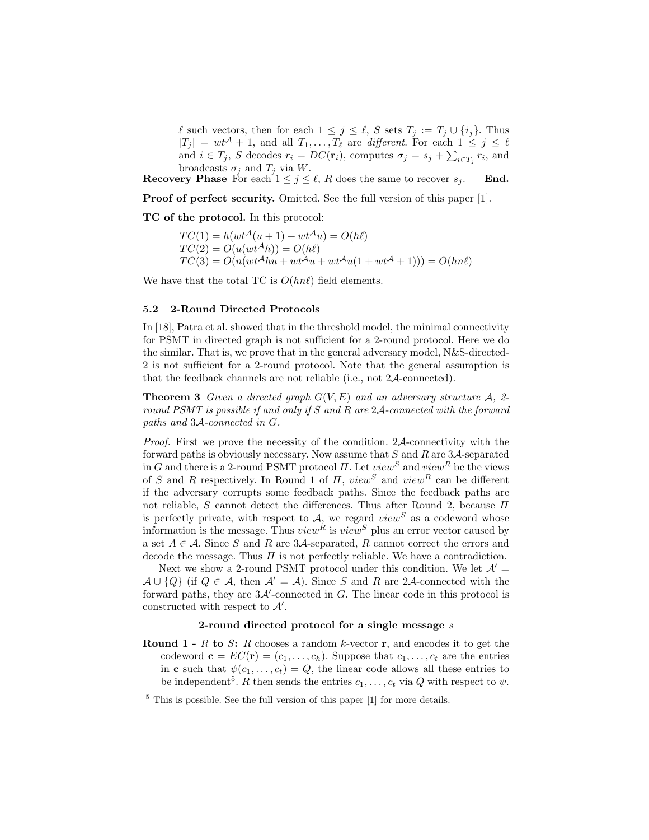$\ell$  such vectors, then for each  $1 \leq j \leq \ell$ , S sets  $T_j := T_j \cup \{i_j\}$ . Thus  $|T_j| = wt^{\mathcal{A}} + 1$ , and all  $T_1, \ldots, T_\ell$  are different. For each  $1 \leq j \leq \ell$ and  $i \in T_j$ , S decodes  $r_i = DC(\mathbf{r}_i)$ , computes  $\sigma_j = s_j + \sum_{i \in T_j} r_i$ , and broadcasts  $\sigma_j$  and  $T_j$  via W.

**Recovery Phase** For each  $1 \leq j \leq \ell$ , R does the same to recover  $s_j$ . End.

Proof of perfect security. Omitted. See the full version of this paper [1].

TC of the protocol. In this protocol:

$$
TC(1) = h(wtA(u + 1) + wtAu) = O(h\ell)
$$
  
\n
$$
TC(2) = O(u(wtAh)) = O(h\ell)
$$
  
\n
$$
TC(3) = O(n(wtAhu + wtAu + wtAu(1 + wtA + 1))) = O(hn\ell)
$$

We have that the total TC is  $O(hn\ell)$  field elements.

#### 5.2 2-Round Directed Protocols

In [18], Patra et al. showed that in the threshold model, the minimal connectivity for PSMT in directed graph is not sufficient for a 2-round protocol. Here we do the similar. That is, we prove that in the general adversary model, N&S-directed-2 is not sufficient for a 2-round protocol. Note that the general assumption is that the feedback channels are not reliable (i.e., not 2A-connected).

**Theorem 3** Given a directed graph  $G(V, E)$  and an adversary structure A, 2round PSMT is possible if and only if S and R are 2A-connected with the forward paths and 3A-connected in G.

Proof. First we prove the necessity of the condition. 2A-connectivity with the forward paths is obviously necessary. Now assume that  $S$  and  $R$  are  $3\mathcal{A}$ -separated in G and there is a 2-round PSMT protocol  $\Pi$ . Let  $view^S$  and  $view^R$  be the views of S and R respectively. In Round 1 of  $\Pi$ , view<sup>S</sup> and view<sup>R</sup> can be different if the adversary corrupts some feedback paths. Since the feedback paths are not reliable, S cannot detect the differences. Thus after Round 2, because  $\Pi$ is perfectly private, with respect to  $A$ , we regard view<sup>S</sup> as a codeword whose information is the message. Thus  $view^R$  is  $view^S$  plus an error vector caused by a set  $A \in \mathcal{A}$ . Since S and R are 3A-separated, R cannot correct the errors and decode the message. Thus  $\Pi$  is not perfectly reliable. We have a contradiction.

Next we show a 2-round PSMT protocol under this condition. We let  $\mathcal{A}' =$  $\mathcal{A} \cup \{Q\}$  (if  $Q \in \mathcal{A}$ , then  $\mathcal{A}' = \mathcal{A}$ ). Since S and R are 2A-connected with the forward paths, they are  $3\mathcal{A}'$ -connected in G. The linear code in this protocol is constructed with respect to  $\mathcal{A}'$ .

#### 2-round directed protocol for a single message s

**Round 1 - R to S:** R chooses a random k-vector **r**, and encodes it to get the codeword  $\mathbf{c} = EC(\mathbf{r}) = (c_1, \ldots, c_h)$ . Suppose that  $c_1, \ldots, c_t$  are the entries in c such that  $\psi(c_1, \ldots, c_t) = Q$ , the linear code allows all these entries to be independent<sup>5</sup>. R then sends the entries  $c_1, \ldots, c_t$  via Q with respect to  $\psi$ .

<sup>5</sup> This is possible. See the full version of this paper [1] for more details.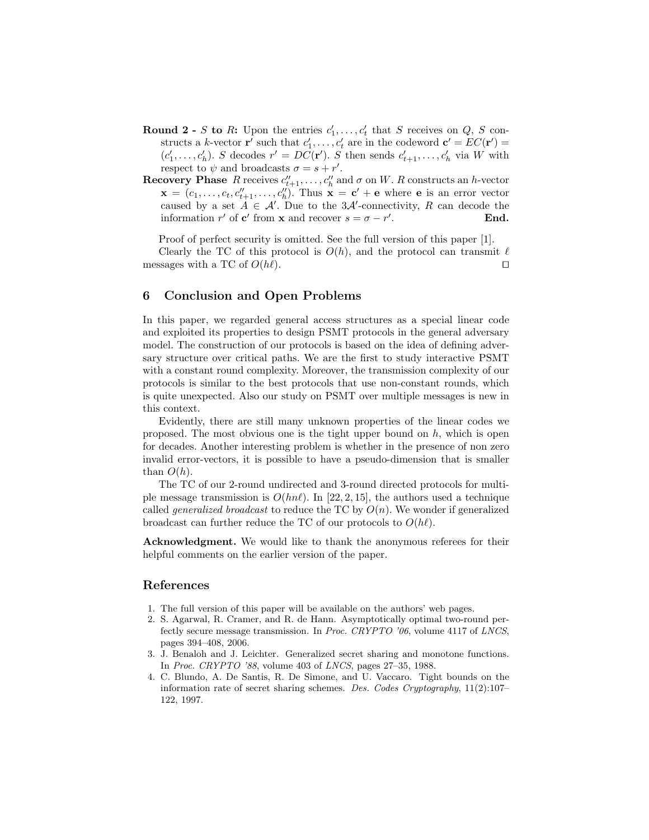- **Round 2** S to R: Upon the entries  $c'_1, \ldots, c'_t$  that S receives on Q, S constructs a k-vector **r'** such that  $c'_1, \ldots, c'_t$  are in the codeword  $\mathbf{c}' = EC(\mathbf{r}') =$  $(c'_1, \ldots, c'_h)$ . S decodes  $r' = DC(\mathbf{r}')$ . S then sends  $c'_{t+1}, \ldots, c'_h$  via W with respect to  $\psi$  and broadcasts  $\sigma = s + r'$ .
- **Recovery Phase** R receives  $c''_{t+1}, \ldots, c''_h$  and  $\sigma$  on W. R constructs an h-vector  $\mathbf{x} = (c_1, \ldots, c_t, c''_{t+1}, \ldots, c''_h)$ . Thus  $\mathbf{x} = \mathbf{c}' + \mathbf{e}$  where  $\mathbf{e}$  is an error vector caused by a set  $A \in \mathcal{A}'$ . Due to the 3 $\mathcal{A}'$ -connectivity, R can decode the information r' of **c**' from **x** and recover  $s = \sigma - r'$ . End.

Proof of perfect security is omitted. See the full version of this paper [1]. Clearly the TC of this protocol is  $O(h)$ , and the protocol can transmit  $\ell$ messages with a TC of  $O(h\ell)$ .

# 6 Conclusion and Open Problems

In this paper, we regarded general access structures as a special linear code and exploited its properties to design PSMT protocols in the general adversary model. The construction of our protocols is based on the idea of defining adversary structure over critical paths. We are the first to study interactive PSMT with a constant round complexity. Moreover, the transmission complexity of our protocols is similar to the best protocols that use non-constant rounds, which is quite unexpected. Also our study on PSMT over multiple messages is new in this context.

Evidently, there are still many unknown properties of the linear codes we proposed. The most obvious one is the tight upper bound on  $h$ , which is open for decades. Another interesting problem is whether in the presence of non zero invalid error-vectors, it is possible to have a pseudo-dimension that is smaller than  $O(h)$ .

The TC of our 2-round undirected and 3-round directed protocols for multiple message transmission is  $O(hn\ell)$ . In [22, 2, 15], the authors used a technique called *generalized broadcast* to reduce the TC by  $O(n)$ . We wonder if generalized broadcast can further reduce the TC of our protocols to  $O(h\ell)$ .

Acknowledgment. We would like to thank the anonymous referees for their helpful comments on the earlier version of the paper.

## References

- 1. The full version of this paper will be available on the authors' web pages.
- 2. S. Agarwal, R. Cramer, and R. de Hann. Asymptotically optimal two-round perfectly secure message transmission. In Proc. CRYPTO '06, volume 4117 of LNCS, pages 394–408, 2006.
- 3. J. Benaloh and J. Leichter. Generalized secret sharing and monotone functions. In Proc. CRYPTO '88, volume 403 of LNCS, pages 27–35, 1988.
- 4. C. Blundo, A. De Santis, R. De Simone, and U. Vaccaro. Tight bounds on the information rate of secret sharing schemes. Des. Codes Cryptography, 11(2):107– 122, 1997.